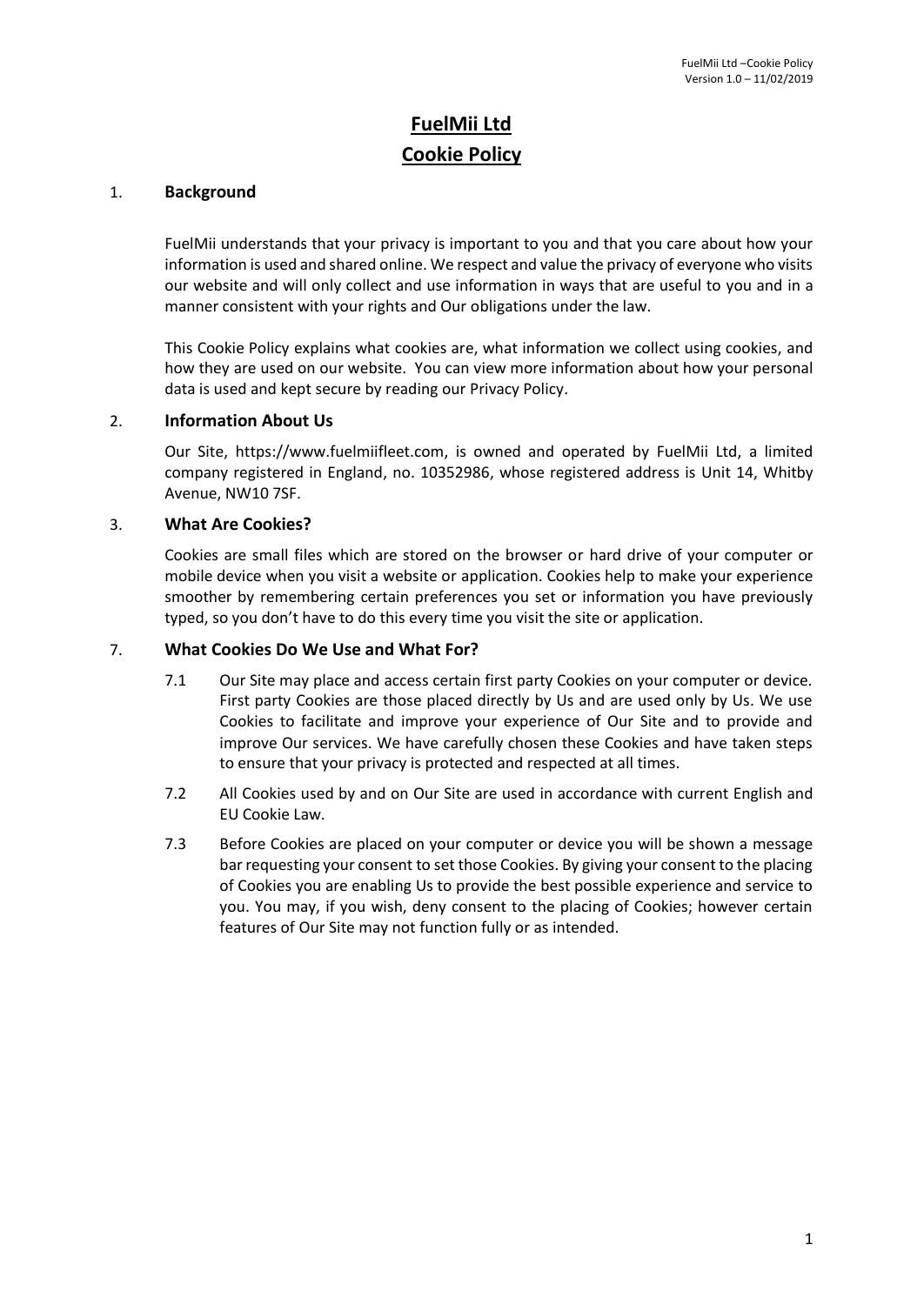# **FuelMii Ltd Cookie Policy**

## 1. **Background**

FuelMii understands that your privacy is important to you and that you care about how your information is used and shared online. We respect and value the privacy of everyone who visits our website and will only collect and use information in ways that are useful to you and in a manner consistent with your rights and Our obligations under the law.

This Cookie Policy explains what cookies are, what information we collect using cookies, and how they are used on our website. You can view more information about how your personal data is used and kept secure by reading our Privacy Policy.

#### 2. **Information About Us**

Our Site, https://www.fuelmiifleet.com, is owned and operated by FuelMii Ltd, a limited company registered in England, no. 10352986, whose registered address is Unit 14, Whitby Avenue, NW10 7SF.

## 3. **What Are Cookies?**

Cookies are small files which are stored on the browser or hard drive of your computer or mobile device when you visit a website or application. Cookies help to make your experience smoother by remembering certain preferences you set or information you have previously typed, so you don't have to do this every time you visit the site or application.

### 7. **What Cookies Do We Use and What For?**

- 7.1 Our Site may place and access certain first party Cookies on your computer or device. First party Cookies are those placed directly by Us and are used only by Us. We use Cookies to facilitate and improve your experience of Our Site and to provide and improve Our services. We have carefully chosen these Cookies and have taken steps to ensure that your privacy is protected and respected at all times.
- 7.2 All Cookies used by and on Our Site are used in accordance with current English and EU Cookie Law.
- 7.3 Before Cookies are placed on your computer or device you will be shown a message bar requesting your consent to set those Cookies. By giving your consent to the placing of Cookies you are enabling Us to provide the best possible experience and service to you. You may, if you wish, deny consent to the placing of Cookies; however certain features of Our Site may not function fully or as intended.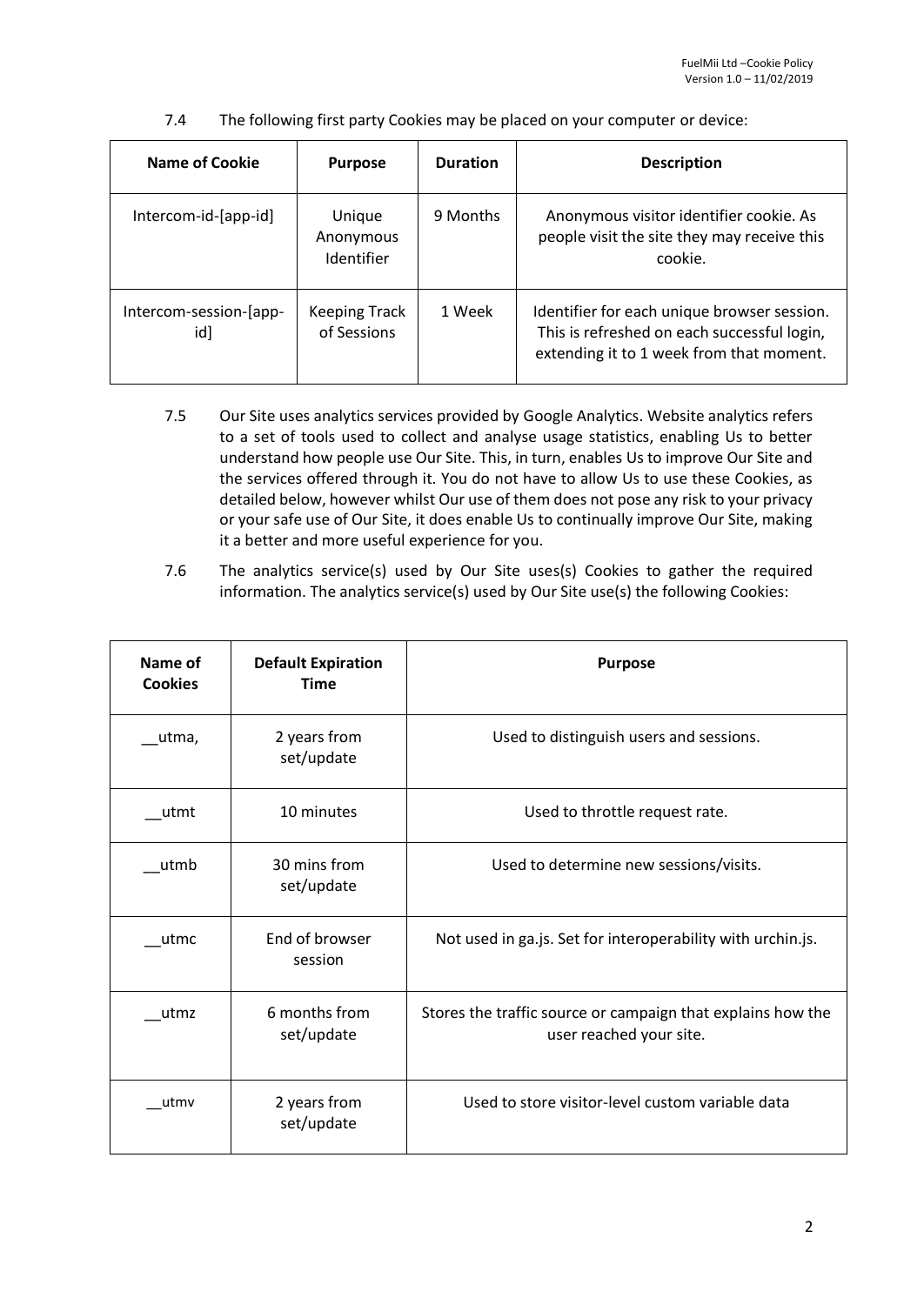7.4 The following first party Cookies may be placed on your computer or device:

| Name of Cookie                | <b>Purpose</b>                      | <b>Duration</b> | <b>Description</b>                                                                                                                     |
|-------------------------------|-------------------------------------|-----------------|----------------------------------------------------------------------------------------------------------------------------------------|
| Intercom-id-[app-id]          | Unique<br>Anonymous<br>Identifier   | 9 Months        | Anonymous visitor identifier cookie. As<br>people visit the site they may receive this<br>cookie.                                      |
| Intercom-session-[app-<br>id] | <b>Keeping Track</b><br>of Sessions | 1 Week          | Identifier for each unique browser session.<br>This is refreshed on each successful login,<br>extending it to 1 week from that moment. |

- 7.5 Our Site uses analytics services provided by Google Analytics. Website analytics refers to a set of tools used to collect and analyse usage statistics, enabling Us to better understand how people use Our Site. This, in turn, enables Us to improve Our Site and the services offered through it. You do not have to allow Us to use these Cookies, as detailed below, however whilst Our use of them does not pose any risk to your privacy or your safe use of Our Site, it does enable Us to continually improve Our Site, making it a better and more useful experience for you.
- 7.6 The analytics service(s) used by Our Site uses(s) Cookies to gather the required information. The analytics service(s) used by Our Site use(s) the following Cookies:

| Name of<br><b>Cookies</b> | <b>Default Expiration</b><br><b>Time</b> | <b>Purpose</b>                                                                         |
|---------------------------|------------------------------------------|----------------------------------------------------------------------------------------|
| utma,                     | 2 years from<br>set/update               | Used to distinguish users and sessions.                                                |
| utmt                      | 10 minutes                               | Used to throttle request rate.                                                         |
| utmb                      | 30 mins from<br>set/update               | Used to determine new sessions/visits.                                                 |
| utmc                      | End of browser<br>session                | Not used in ga.js. Set for interoperability with urchin.js.                            |
| utmz                      | 6 months from<br>set/update              | Stores the traffic source or campaign that explains how the<br>user reached your site. |
| utmv                      | 2 years from<br>set/update               | Used to store visitor-level custom variable data                                       |